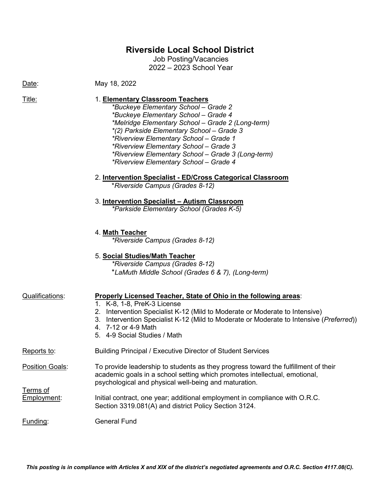## **Riverside Local School District**

Job Posting/Vacancies 2022 – 2023 School Year

Date: May 18, 2022

### Title: 1. **Elementary Classroom Teachers**

*\*Buckeye Elementary School – Grade 2 \*Buckeye Elementary School – Grade 4 \*Melridge Elementary School – Grade 2 (Long-term) \*(2) Parkside Elementary School – Grade 3 \*Riverview Elementary School – Grade 1 \*Riverview Elementary School – Grade 3 \*Riverview Elementary School – Grade 3 (Long-term) \*Riverview Elementary School – Grade 4*

### 2. **Intervention Specialist - ED/Cross Categorical Classroom**

\**Riverside Campus (Grades 8-12)*

# 3. **Intervention Specialist – Autism Classroom**

*\*Parkside Elementary School (Grades K-5)*

#### 4. **Math Teacher**

*\*Riverside Campus (Grades 8-12)*

## 5. **Social Studies/Math Teacher**

*\*Riverside Campus (Grades 8-12)* \**LaMuth Middle School (Grades 6 & 7), (Long-term)*

| Qualifications:         | Properly Licensed Teacher, State of Ohio in the following areas:<br>1. K-8, 1-8, PreK-3 License<br>Intervention Specialist K-12 (Mild to Moderate or Moderate to Intensive)<br>2.<br>Intervention Specialist K-12 (Mild to Moderate or Moderate to Intensive (Preferred))<br>3.<br>4. 7-12 or 4-9 Math<br>5. 4-9 Social Studies / Math |
|-------------------------|----------------------------------------------------------------------------------------------------------------------------------------------------------------------------------------------------------------------------------------------------------------------------------------------------------------------------------------|
| Reports to:             | Building Principal / Executive Director of Student Services                                                                                                                                                                                                                                                                            |
| <b>Position Goals:</b>  | To provide leadership to students as they progress toward the fulfillment of their<br>academic goals in a school setting which promotes intellectual, emotional,<br>psychological and physical well-being and maturation.                                                                                                              |
| Terms of<br>Employment: | Initial contract, one year; additional employment in compliance with O.R.C.<br>Section 3319.081(A) and district Policy Section 3124.                                                                                                                                                                                                   |
| Funding:                | <b>General Fund</b>                                                                                                                                                                                                                                                                                                                    |